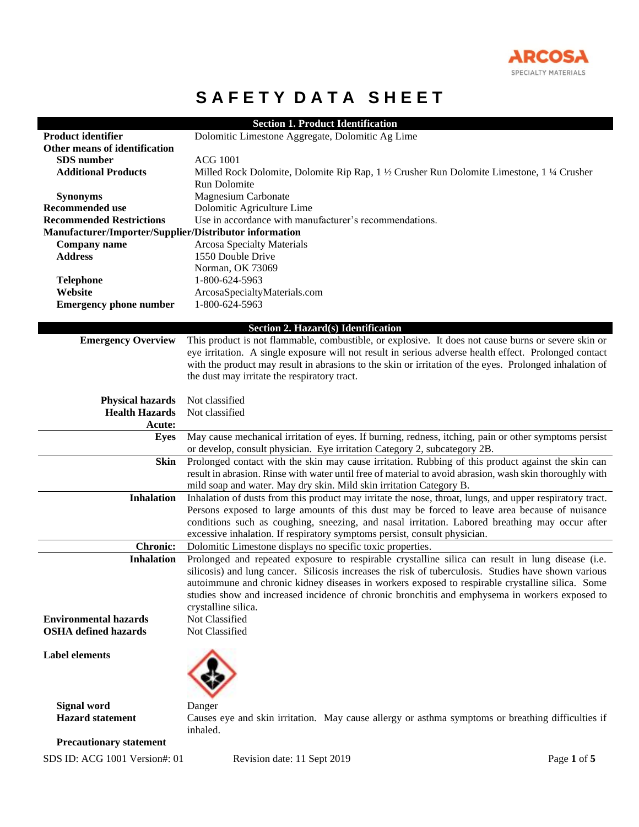

# **SAFETY DATA SHEET**

| <b>Product identifier</b>                              | <b>Section 1. Product Identification</b>                                                                       |
|--------------------------------------------------------|----------------------------------------------------------------------------------------------------------------|
| Other means of identification                          | Dolomitic Limestone Aggregate, Dolomitic Ag Lime                                                               |
| SDS number                                             | <b>ACG 1001</b>                                                                                                |
| <b>Additional Products</b>                             |                                                                                                                |
|                                                        | Milled Rock Dolomite, Dolomite Rip Rap, 1 ½ Crusher Run Dolomite Limestone, 1 ¼ Crusher<br><b>Run Dolomite</b> |
| <b>Synonyms</b>                                        | <b>Magnesium Carbonate</b>                                                                                     |
| <b>Recommended use</b>                                 | Dolomitic Agriculture Lime                                                                                     |
| <b>Recommended Restrictions</b>                        | Use in accordance with manufacturer's recommendations.                                                         |
| Manufacturer/Importer/Supplier/Distributor information |                                                                                                                |
| <b>Company name</b>                                    | <b>Arcosa Specialty Materials</b>                                                                              |
| <b>Address</b>                                         | 1550 Double Drive                                                                                              |
|                                                        | Norman, OK 73069                                                                                               |
| <b>Telephone</b>                                       | 1-800-624-5963                                                                                                 |
| Website                                                | ArcosaSpecialtyMaterials.com                                                                                   |
| <b>Emergency phone number</b>                          | 1-800-624-5963                                                                                                 |
|                                                        |                                                                                                                |
|                                                        | Section 2. Hazard(s) Identification                                                                            |
| <b>Emergency Overview</b>                              | This product is not flammable, combustible, or explosive. It does not cause burns or severe skin or            |
|                                                        | eye irritation. A single exposure will not result in serious adverse health effect. Prolonged contact          |
|                                                        | with the product may result in abrasions to the skin or irritation of the eyes. Prolonged inhalation of        |
|                                                        | the dust may irritate the respiratory tract.                                                                   |
| <b>Physical hazards</b>                                | Not classified                                                                                                 |
| <b>Health Hazards</b>                                  | Not classified                                                                                                 |
| <b>Acute:</b>                                          |                                                                                                                |
| Eyes                                                   | May cause mechanical irritation of eyes. If burning, redness, itching, pain or other symptoms persist          |
|                                                        | or develop, consult physician. Eye irritation Category 2, subcategory 2B.                                      |
| <b>Skin</b>                                            | Prolonged contact with the skin may cause irritation. Rubbing of this product against the skin can             |
|                                                        | result in abrasion. Rinse with water until free of material to avoid abrasion, wash skin thoroughly with       |
|                                                        | mild soap and water. May dry skin. Mild skin irritation Category B.                                            |
| <b>Inhalation</b>                                      | Inhalation of dusts from this product may irritate the nose, throat, lungs, and upper respiratory tract.       |
|                                                        | Persons exposed to large amounts of this dust may be forced to leave area because of nuisance                  |
|                                                        | conditions such as coughing, sneezing, and nasal irritation. Labored breathing may occur after                 |
|                                                        | excessive inhalation. If respiratory symptoms persist, consult physician.                                      |
| <b>Chronic:</b>                                        | Dolomitic Limestone displays no specific toxic properties.                                                     |
| <b>Inhalation</b>                                      | Prolonged and repeated exposure to respirable crystalline silica can result in lung disease (i.e.              |
|                                                        | silicosis) and lung cancer. Silicosis increases the risk of tuberculosis. Studies have shown various           |
|                                                        | autoimmune and chronic kidney diseases in workers exposed to respirable crystalline silica. Some               |
|                                                        | studies show and increased incidence of chronic bronchitis and emphysema in workers exposed to                 |
|                                                        | crystalline silica.                                                                                            |
| <b>Environmental hazards</b>                           | Not Classified                                                                                                 |
| <b>OSHA</b> defined hazards                            | Not Classified                                                                                                 |
|                                                        |                                                                                                                |
| <b>Label elements</b>                                  |                                                                                                                |
|                                                        |                                                                                                                |
|                                                        |                                                                                                                |
|                                                        |                                                                                                                |
| <b>Signal word</b><br><b>Hazard</b> statement          | Danger<br>Causes eye and skin irritation. May cause allergy or asthma symptoms or breathing difficulties if    |
|                                                        | inhaled.                                                                                                       |
|                                                        |                                                                                                                |

 **Precautionary statement**

SDS ID: ACG 1001 Version#: 01 Revision date: 11 Sept 2019 Page **1** of **5**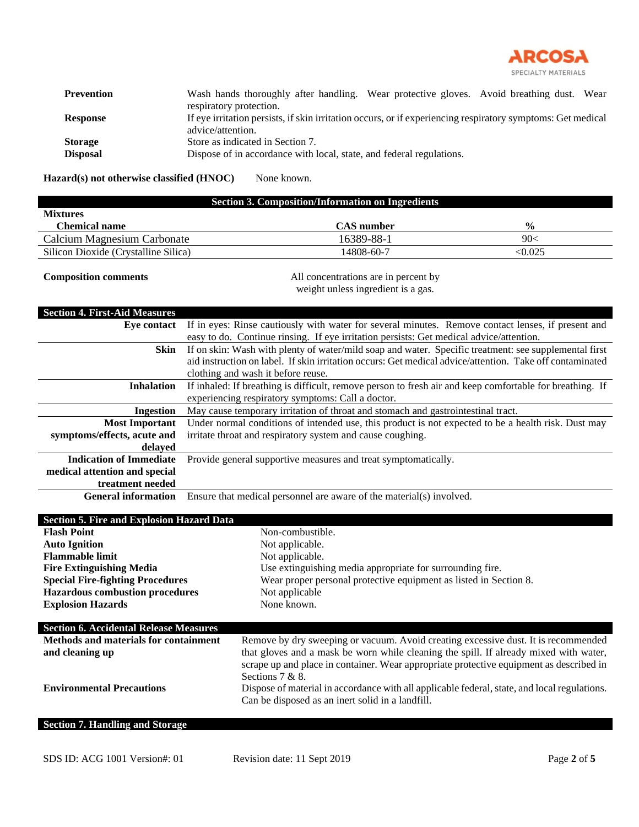

| <b>Prevention</b> | Wash hands thoroughly after handling. Wear protective gloves. Avoid breathing dust. Wear                    |  |
|-------------------|-------------------------------------------------------------------------------------------------------------|--|
|                   | respiratory protection.                                                                                     |  |
| <b>Response</b>   | If eye irritation persists, if skin irritation occurs, or if experiencing respiratory symptoms: Get medical |  |
|                   | advice/attention.                                                                                           |  |
| <b>Storage</b>    | Store as indicated in Section 7.                                                                            |  |
| <b>Disposal</b>   | Dispose of in accordance with local, state, and federal regulations.                                        |  |

Hazard(s) not otherwise classified (HNOC) None known.

| <b>Section 3. Composition/Information on Ingredients</b> |            |               |
|----------------------------------------------------------|------------|---------------|
| <b>Mixtures</b>                                          |            |               |
| Chemical name                                            | CAS number | $\frac{6}{6}$ |
| Calcium Magnesium Carbonate                              | 16389-88-1 | 90<           |
| Silicon Dioxide (Crystalline Silica)                     | 14808-60-7 | < 0.025       |

**Composition comments** All concentrations are in percent by weight unless ingredient is a gas.

| <b>Section 4. First-Aid Measures</b>             |                                                                                                          |  |  |
|--------------------------------------------------|----------------------------------------------------------------------------------------------------------|--|--|
| Eye contact                                      | If in eyes: Rinse cautiously with water for several minutes. Remove contact lenses, if present and       |  |  |
|                                                  | easy to do. Continue rinsing. If eye irritation persists: Get medical advice/attention.                  |  |  |
| Skin                                             | If on skin: Wash with plenty of water/mild soap and water. Specific treatment: see supplemental first    |  |  |
|                                                  | aid instruction on label. If skin irritation occurs: Get medical advice/attention. Take off contaminated |  |  |
|                                                  | clothing and wash it before reuse.                                                                       |  |  |
| <b>Inhalation</b>                                | If inhaled: If breathing is difficult, remove person to fresh air and keep comfortable for breathing. If |  |  |
|                                                  | experiencing respiratory symptoms: Call a doctor.                                                        |  |  |
| <b>Ingestion</b>                                 | May cause temporary irritation of throat and stomach and gastrointestinal tract.                         |  |  |
| <b>Most Important</b>                            | Under normal conditions of intended use, this product is not expected to be a health risk. Dust may      |  |  |
| symptoms/effects, acute and                      | irritate throat and respiratory system and cause coughing.                                               |  |  |
| delayed                                          |                                                                                                          |  |  |
| <b>Indication of Immediate</b>                   | Provide general supportive measures and treat symptomatically.                                           |  |  |
| medical attention and special                    |                                                                                                          |  |  |
| treatment needed                                 |                                                                                                          |  |  |
| <b>General information</b>                       | Ensure that medical personnel are aware of the material(s) involved.                                     |  |  |
|                                                  |                                                                                                          |  |  |
| <b>Section 5. Fire and Explosion Hazard Data</b> |                                                                                                          |  |  |
| <b>Flash Point</b>                               | Non-combustible.                                                                                         |  |  |
| <b>Auto Ignition</b>                             | Not applicable.                                                                                          |  |  |
| <b>Flammable limit</b>                           | Not applicable.                                                                                          |  |  |
| <b>Fire Extinguishing Media</b>                  | Use extinguishing media appropriate for surrounding fire.                                                |  |  |
| <b>Special Fire-fighting Procedures</b>          | Wear proper personal protective equipment as listed in Section 8.                                        |  |  |
| <b>Hazardous combustion procedures</b>           | Not applicable                                                                                           |  |  |
| <b>Explosion Hazards</b>                         | None known.                                                                                              |  |  |

| <b>Section 6. Accidental Release Measures</b> |                                                                                              |
|-----------------------------------------------|----------------------------------------------------------------------------------------------|
| <b>Methods and materials for containment</b>  | Remove by dry sweeping or vacuum. Avoid creating excessive dust. It is recommended           |
| and cleaning up                               | that gloves and a mask be worn while cleaning the spill. If already mixed with water,        |
|                                               | scrape up and place in container. Wear appropriate protective equipment as described in      |
|                                               | Sections $7 & 8$ .                                                                           |
| <b>Environmental Precautions</b>              | Dispose of material in accordance with all applicable federal, state, and local regulations. |
|                                               | Can be disposed as an inert solid in a landfill.                                             |
|                                               |                                                                                              |

# **Section 7. Handling and Storage**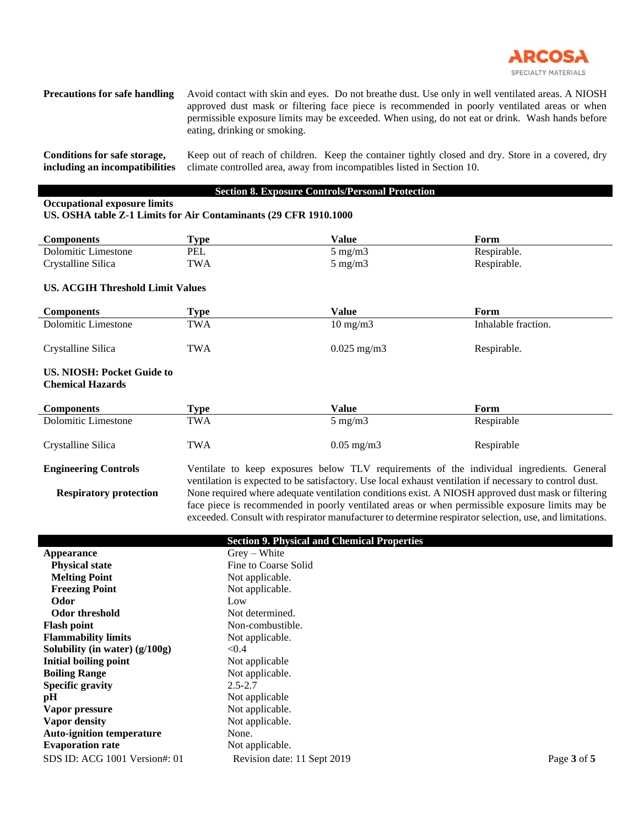

**Precautions for safe handling** Avoid contact with skin and eyes. Do not breathe dust. Use only in well ventilated areas. A NIOSH approved dust mask or filtering face piece is recommended in poorly ventilated areas or when permissible exposure limits may be exceeded. When using, do not eat or drink. Wash hands before eating, drinking or smoking.

**Conditions for safe storage, including an incompatibilities** Keep out of reach of children. Keep the container tightly closed and dry. Store in a covered, dry climate controlled area, away from incompatibles listed in Section 10.

### **Section 8. Exposure Controls/Personal Protection**

# **Occupational exposure limits**

#### **US. OSHA table Z-1 Limits for Air Contaminants (29 CFR 1910.1000**

| <b>Components</b>   | 'vpe       | Value            | Form        |
|---------------------|------------|------------------|-------------|
| Dolomitic Limestone | PEL        | $5 \text{ mg/m}$ | Respirable. |
| Crystalline Silica  | <b>TWA</b> | $5 \text{ mg/m}$ | Respirable. |

## **US. ACGIH Threshold Limit Values**

| <b>Components</b>   | Type       | Value                | Form                |
|---------------------|------------|----------------------|---------------------|
| Dolomitic Limestone | <b>TWA</b> | $10 \text{ mg/m}$    | Inhalable fraction. |
| Crystalline Silica  | TWA        | $0.025 \text{ mg/m}$ | Respirable.         |

#### **US. NIOSH: Pocket Guide to Chemical Hazards**

| <b>Components</b>   | Type | Value                 | Form       |
|---------------------|------|-----------------------|------------|
| Dolomitic Limestone | TWA  | $5 \text{ mg/m}$      | Respirable |
| Crystalline Silica  | TWA  | $0.05 \text{ mg/m}$ 3 | Respirable |

**Engineering Controls** Ventilate to keep exposures below TLV requirements of the individual ingredients. General ventilation is expected to be satisfactory. Use local exhaust ventilation if necessary to control dust. **Respiratory protection** None required where adequate ventilation conditions exist. A NIOSH approved dust mask or filtering face piece is recommended in poorly ventilated areas or when permissible exposure limits may be exceeded. Consult with respirator manufacturer to determine respirator selection, use, and limitations.

|                                  | <b>Section 9. Physical and Chemical Properties</b> |             |
|----------------------------------|----------------------------------------------------|-------------|
| <b>Appearance</b>                | $Grev - White$                                     |             |
| <b>Physical state</b>            | Fine to Coarse Solid                               |             |
| <b>Melting Point</b>             | Not applicable.                                    |             |
| <b>Freezing Point</b>            | Not applicable.                                    |             |
| Odor                             | Low                                                |             |
| <b>Odor threshold</b>            | Not determined.                                    |             |
| <b>Flash point</b>               | Non-combustible.                                   |             |
| <b>Flammability limits</b>       | Not applicable.                                    |             |
| Solubility (in water) $(g/100g)$ | < 0.4                                              |             |
| Initial boiling point            | Not applicable                                     |             |
| <b>Boiling Range</b>             | Not applicable.                                    |             |
| <b>Specific gravity</b>          | $2.5 - 2.7$                                        |             |
| pH                               | Not applicable                                     |             |
| Vapor pressure                   | Not applicable.                                    |             |
| Vapor density                    | Not applicable.                                    |             |
| <b>Auto-ignition temperature</b> | None.                                              |             |
| <b>Evaporation rate</b>          | Not applicable.                                    |             |
| SDS ID: ACG 1001 Version#: 01    | Revision date: 11 Sept 2019                        | Page 3 of 5 |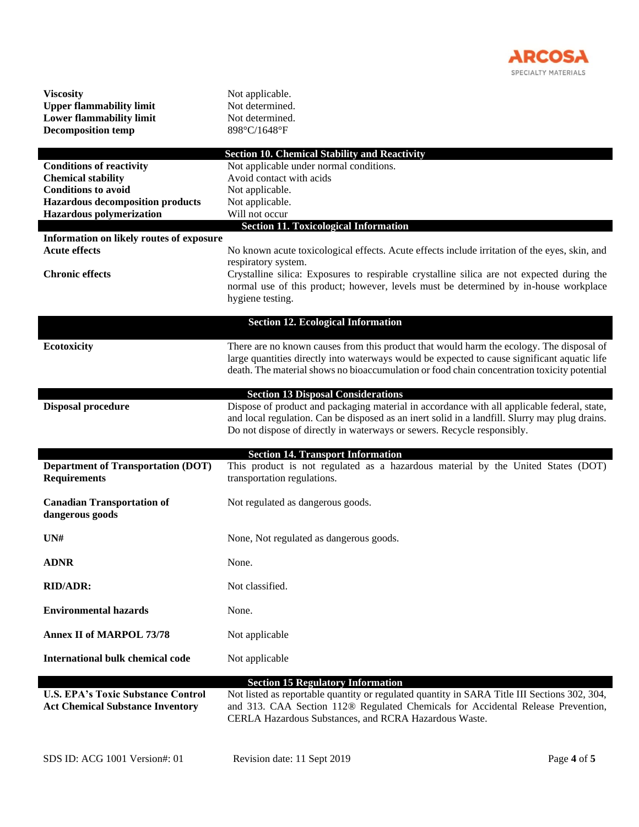

| <b>Viscosity</b><br><b>Upper flammability limit</b><br><b>Lower flammability limit</b><br><b>Decomposition temp</b>                                               | Not applicable.<br>Not determined.<br>Not determined.<br>898°C/1648°F                                                                                                                                                                                                                   |
|-------------------------------------------------------------------------------------------------------------------------------------------------------------------|-----------------------------------------------------------------------------------------------------------------------------------------------------------------------------------------------------------------------------------------------------------------------------------------|
| <b>Conditions of reactivity</b><br><b>Chemical stability</b><br><b>Conditions to avoid</b><br><b>Hazardous decomposition products</b><br>Hazardous polymerization | <b>Section 10. Chemical Stability and Reactivity</b><br>Not applicable under normal conditions.<br>Avoid contact with acids<br>Not applicable.<br>Not applicable.<br>Will not occur                                                                                                     |
| Information on likely routes of exposure                                                                                                                          | <b>Section 11. Toxicological Information</b>                                                                                                                                                                                                                                            |
| <b>Acute effects</b>                                                                                                                                              | No known acute toxicological effects. Acute effects include irritation of the eyes, skin, and                                                                                                                                                                                           |
| <b>Chronic effects</b>                                                                                                                                            | respiratory system.<br>Crystalline silica: Exposures to respirable crystalline silica are not expected during the<br>normal use of this product; however, levels must be determined by in-house workplace<br>hygiene testing.                                                           |
|                                                                                                                                                                   | <b>Section 12. Ecological Information</b>                                                                                                                                                                                                                                               |
| <b>Ecotoxicity</b>                                                                                                                                                | There are no known causes from this product that would harm the ecology. The disposal of<br>large quantities directly into waterways would be expected to cause significant aquatic life<br>death. The material shows no bioaccumulation or food chain concentration toxicity potential |
|                                                                                                                                                                   | <b>Section 13 Disposal Considerations</b>                                                                                                                                                                                                                                               |
| <b>Disposal procedure</b>                                                                                                                                         | Dispose of product and packaging material in accordance with all applicable federal, state,<br>and local regulation. Can be disposed as an inert solid in a landfill. Slurry may plug drains.<br>Do not dispose of directly in waterways or sewers. Recycle responsibly.                |
|                                                                                                                                                                   | <b>Section 14. Transport Information</b>                                                                                                                                                                                                                                                |
| <b>Department of Transportation (DOT)</b><br><b>Requirements</b>                                                                                                  | This product is not regulated as a hazardous material by the United States (DOT)<br>transportation regulations.                                                                                                                                                                         |
| <b>Canadian Transportation of</b><br>dangerous goods                                                                                                              | Not regulated as dangerous goods.                                                                                                                                                                                                                                                       |
| UN#                                                                                                                                                               | None, Not regulated as dangerous goods.                                                                                                                                                                                                                                                 |
| <b>ADNR</b>                                                                                                                                                       | None.                                                                                                                                                                                                                                                                                   |
| <b>RID/ADR:</b>                                                                                                                                                   | Not classified.                                                                                                                                                                                                                                                                         |
| <b>Environmental hazards</b>                                                                                                                                      | None.                                                                                                                                                                                                                                                                                   |
| <b>Annex II of MARPOL 73/78</b>                                                                                                                                   | Not applicable                                                                                                                                                                                                                                                                          |
| <b>International bulk chemical code</b>                                                                                                                           | Not applicable                                                                                                                                                                                                                                                                          |
| <b>U.S. EPA's Toxic Substance Control</b><br><b>Act Chemical Substance Inventory</b>                                                                              | <b>Section 15 Regulatory Information</b><br>Not listed as reportable quantity or regulated quantity in SARA Title III Sections 302, 304,<br>and 313. CAA Section 112® Regulated Chemicals for Accidental Release Prevention,<br>CERLA Hazardous Substances, and RCRA Hazardous Waste.   |